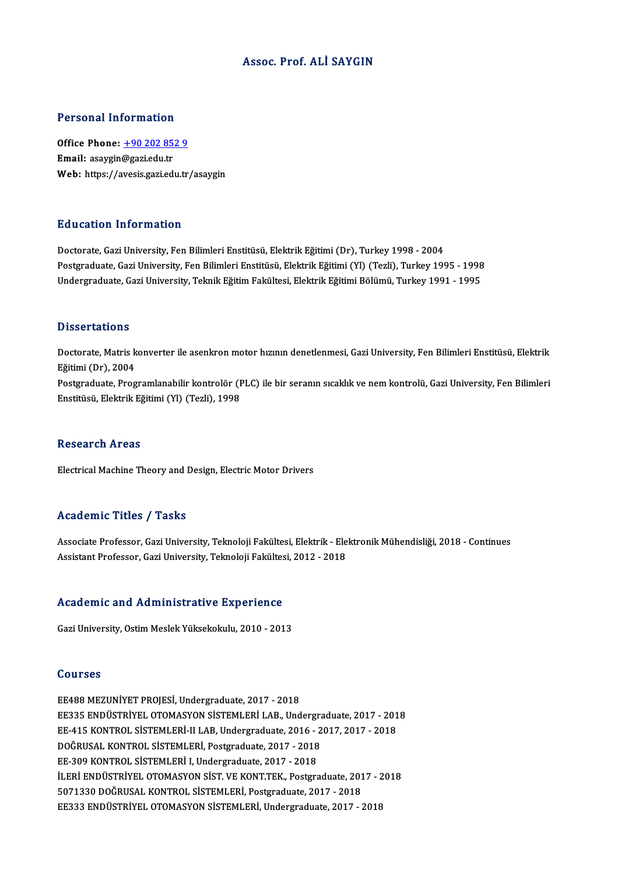#### Assoc. Prof. ALİ SAYGIN

#### Personal Information

Personal Information<br>Office Phone: <u>+90 202 852 9</u><br>Email: 2021/3027i 0du tr 1 STOOM THEST MUCHT<br>Office Phone: <u>+90 202 85</u><br>Email: asaygin[@gazi.edu.tr](tel:+90 202 852 9) Email: asaygin@gazi.edu.tr<br>Web: https://avesis.gazi.edu.tr/asaygin

#### Education Information

Doctorate,GaziUniversity,FenBilimleriEnstitüsü,ElektrikEğitimi (Dr),Turkey1998 -2004 Pu u sutrom minominusion<br>Doctorate, Gazi University, Fen Bilimleri Enstitüsü, Elektrik Eğitimi (Dr), Turkey 1998 - 2004<br>Postgraduate, Gazi University, Fen Bilimleri Enstitüsü, Elektrik Eğitimi (Yl) (Tezli), Turkey 1995 - 1 Doctorate, Gazi University, Fen Bilimleri Enstitüsü, Elektrik Eğitimi (Dr), Turkey 1998 - 2004<br>Postgraduate, Gazi University, Fen Bilimleri Enstitüsü, Elektrik Eğitimi (Yl) (Tezli), Turkey 1995 - 1998<br>Undergraduate, Gazi U Undergraduate, Gazi University, Teknik Eğitim Fakültesi, Elektrik Eğitimi Bölümü, Turkey 1991 - 1995<br>Dissertations

Doctorate, Matris konverter ile asenkron motor hızının denetlenmesi, Gazi University, Fen Bilimleri Enstitüsü, Elektrik Eğitimi (Dr),2004 Doctorate, Matris konverter ile asenkron motor hızının denetlenmesi, Gazi University, Fen Bilimleri Enstitüsü, Elektrik<br>Eğitimi (Dr), 2004<br>Postgraduate, Programlanabilir kontrolör (PLC) ile bir seranın sıcaklık ve nem kont Eğitimi (Dr), 2004<br>Postgraduate, Programlanabilir kontrolör (F<br>Enstitüsü, Elektrik Eğitimi (Yl) (Tezli), 1998 Enstitüsü, Elektrik Eğitimi (Yl) (Tezli), 1998<br>Research Areas

Electrical Machine Theory and Design, Electric Motor Drivers

#### Academic Titles / Tasks

Academic Titles / Tasks<br>Associate Professor, Gazi University, Teknoloji Fakültesi, Elektrik - Elektronik Mühendisliği, 2018 - Continues<br>Assistant Professor, Gazi University, Teknoloji Fakültesi, 2012, 2018 11000 CHIPE 11000 7 10010<br>Associate Professor, Gazi University, Teknoloji Fakültesi, Elektrik - Ele<br>Assistant Professor, Gazi University, Teknoloji Fakültesi, 2012 - 2018 Assistant Professor, Gazi University, Teknoloji Fakültesi, 2012 - 2018<br>Academic and Administrative Experience

Gazi University, Ostim Meslek Yüksekokulu, 2010 - 2013

#### Courses

EE488MEZUNİYETPROJESİ,Undergraduate,2017 -2018 SSATESE<br>EE488 MEZUNİYET PROJESİ, Undergraduate, 2017 - 2018<br>EE335 ENDÜSTRİYEL OTOMASYON SİSTEMLERİ LAB., Undergraduate, 2017 - 2018<br>EE 415 KONTROL SİSTEMLERİ ILLAB Undergraduate, 2016 - 2017 - 2017 - 2019 EE488 MEZUNİYET PROJESİ, Undergraduate, 2017 - 2018<br>EE335 ENDÜSTRİYEL OTOMASYON SİSTEMLERİ LAB., Undergraduate, 2017 - 201<br>EE-415 KONTROL SİSTEMLERİ-II LAB, Undergraduate, 2016 - 2017, 2017 - 2018<br>DOĞRUSAL KONTROL SİSTEMLE EE335 ENDÜSTRİYEL OTOMASYON SİSTEMLERİ LAB., Undergram<br>EE-415 KONTROL SİSTEMLERİ-II LAB, Undergraduate, 2016 - 2<br>DOĞRUSAL KONTROL SİSTEMLERİ, Postgraduate, 2017 - 2018<br>EE 200 KONTROL SİSTEMLERİ, Undergraduate, 2017 - 2019 EE-415 KONTROL SİSTEMLERİ-II LAB, Undergraduate, 2016 - 2017, 2017 - 2018<br>DOĞRUSAL KONTROL SİSTEMLERİ, Postgraduate, 2017 - 2018<br>EE-309 KONTROL SİSTEMLERİ I, Undergraduate, 2017 - 2018 DOĞRUSAL KONTROL SİSTEMLERİ, Postgraduate, 2017 - 2018<br>EE-309 KONTROL SİSTEMLERİ I, Undergraduate, 2017 - 2018<br>İLERİ ENDÜSTRİYEL OTOMASYON SİST. VE KONT.TEK., Postgraduate, 2017 - 2018<br>E071320 DOĞRUSAL KONTROL SİSTEMLERİ, EE-309 KONTROL SİSTEMLERİ I, Undergraduate, 2017 - 2018<br>İLERİ ENDÜSTRİYEL OTOMASYON SİST. VE KONT.TEK., Postgraduate, 201<br>5071330 DOĞRUSAL KONTROL SİSTEMLERİ, Postgraduate, 2017 - 2018<br>EE222 ENDÜSTRİYEL OTOMASYON SİSTEMLER 5071330 DOĞRUSAL KONTROL SİSTEMLERİ, Postgraduate, 2017 - 2018<br>EE333 ENDÜSTRİYEL OTOMASYON SİSTEMLERİ, Undergraduate, 2017 - 2018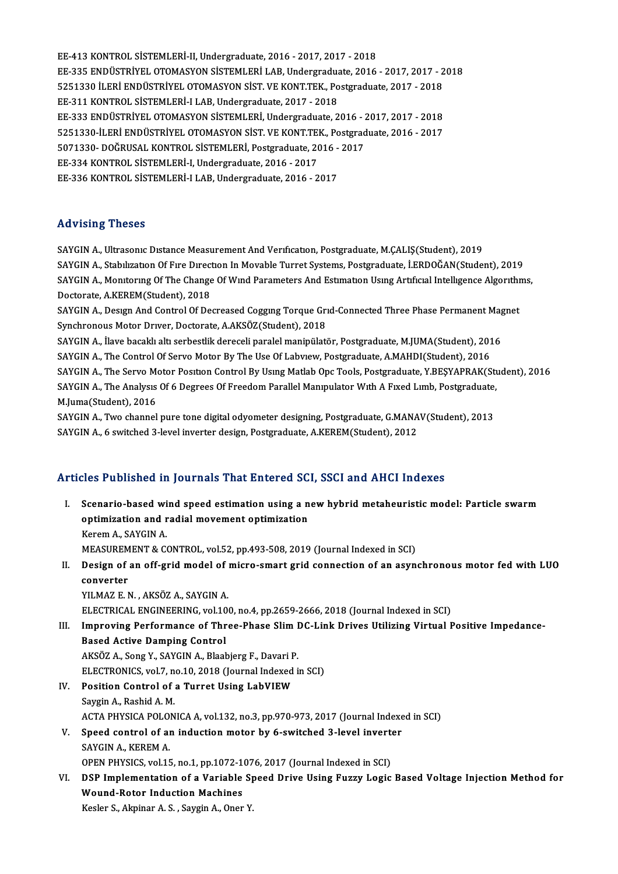EE-413 KONTROL SİSTEMLERİ-II, Undergraduate, 2016 - 2017, 2017 - 2018 EE-413 KONTROL SİSTEMLERİ-II, Undergraduate, 2016 - 2017, 2017 - 2018<br>EE-335 ENDÜSTRİYEL OTOMASYON SİSTEMLERİ LAB, Undergraduate, 2016 - 2017, 2017 - 2018<br>E251320 İLERİ ENDÜSTRİYEL OTOMASYON SİST, VE KONT TEK, Pestanaduata EE-413 KONTROL SİSTEMLERİ-II, Undergraduate, 2016 - 2017, 2017 - 2018<br>EE-335 ENDÜSTRİYEL OTOMASYON SİSTEMLERİ LAB, Undergraduate, 2016 - 2017, 2017 - 2<br>5251330 İLERİ ENDÜSTRİYEL OTOMASYON SİST. VE KONT.TEK., Postgraduate, EE-335 ENDÜSTRIYEL OTOMASYON SISTEMLERI LAB, Undergraduate, 2017<br>5251330 İLERI ENDÜSTRIYEL OTOMASYON SIST. VE KONT.TEK., Po<br>EE-311 KONTROL SISTEMLERI-I LAB, Undergraduate, 2017 - 2018<br>EE 222 ENDÜSTRIVEL OTOMASYON SISTEMLER 5251330 İLERİ ENDÜSTRİYEL OTOMASYON SİST. VE KONT.TEK., Postgraduate, 2017 - 2018<br>EE-311 KONTROL SİSTEMLERİ-I LAB, Undergraduate, 2017 - 2018<br>EE-333 ENDÜSTRİYEL OTOMASYON SİSTEMLERİ, Undergraduate, 2016 - 2017, 2017 - 2018 EE-311 KONTROL SİSTEMLERİ-I LAB, Undergraduate, 2017 - 2018<br>EE-333 ENDÜSTRİYEL OTOMASYON SİSTEMLERİ, Undergraduate, 2016 - 2017, 2017 - 2018<br>5251330-İLERİ ENDÜSTRİYEL OTOMASYON SİST. VE KONT.TEK., Postgraduate, 2016 - 2017 EE-333 ENDÜSTRİYEL OTOMASYON SİSTEMLERİ, Undergraduate, 2016 - 2016)<br>5251330-İLERİ ENDÜSTRİYEL OTOMASYON SİST. VE KONT.TEK., Postgrad<br>5071330- DOĞRUSAL KONTROL SİSTEMLERİ, Postgraduate, 2016 - 2017<br>EE 224 KONTROL SİSTEMLER 5251330-İLERİ ENDÜSTRİYEL OTOMASYON SİST. VE KONT.TEK., Postgraduate, 2016 - 2017<br>5071330- DOĞRUSAL KONTROL SİSTEMLERİ, Postgraduate, 2016 - 2017<br>EE-334 KONTROL SİSTEMLERİ-I, Undergraduate, 2016 - 2017<br>EE-336 KONTROL SİSTE 5071330- DOĞRUSAL KONTROL SİSTEMLERİ, Postgraduate, 2016 - 2017

#### Advising Theses

SAYGIN A., Ultrasonic Distance Measurement And Verification, Postgraduate, M.CALIŞ(Student), 2019 ria viern<sub>e</sub> Frieses<br>SAYGIN A., Ultrasonic Distance Measurement And Verification, Postgraduate, M.ÇALIŞ(Student), 2019<br>SAYGIN A., Stabilization Of Fire Direction In Movable Turret Systems, Postgraduate, İ.ERDOĞAN(Student), SAYGIN A., Monitoring Of The Change Of Wind Parameters And Estimation Using Artificial Intelligence Algorithms,<br>Doctorate, A.KEREM(Student), 2018 SAYGIN A., Stabilization Of Fire Direct<br>SAYGIN A., Monitoring Of The Change<br>Doctorate, A.KEREM(Student), 2018<br>SAYGIN A., Docum And Control Of De SAYGIN A., Monitoring Of The Change Of Wind Parameters And Estimation Using Artificial Intelligence Algorithr<br>Doctorate, A.KEREM(Student), 2018<br>SAYGIN A., Design And Control Of Decreased Cogging Torque Grid-Connected Three

Doctorate, A.KEREM(Student), 2018<br>SAYGIN A., Design And Control Of Decreased Cogging Torque Gri<br>Synchronous Motor Driver, Doctorate, A.AKSÖZ(Student), 2018<br>SAYGIN A., Have basakkadt serbestijk danaseli namlal maninjlati SAYGIN A., Design And Control Of Decreased Cogging Torque Grid-Connected Three Phase Permanent Mag<br>Synchronous Motor Driver, Doctorate, A.AKSÖZ(Student), 2018<br>SAYGIN A., İlave bacaklı altı serbestlik dereceli paralel manip

Synchronous Motor Driver, Doctorate, A.AKSÖZ(Student), 2018<br>SAYGIN A., İlave bacaklı altı serbestlik dereceli paralel manipülatör, Postgraduate, M.JUMA(Student), 2016<br>SAYGIN A., The Control Of Servo Motor By The Use Of Lab SAYGIN A., İlave bacaklı altı serbestlik dereceli paralel manipülatör, Postgraduate, M.JUMA(Student), 2016<br>SAYGIN A., The Control Of Servo Motor By The Use Of Labview, Postgraduate, A.MAHDI(Student), 2016<br>SAYGIN A., The Se SAYGIN A., The Control Of Servo Motor By The Use Of Labview, Postgraduate, A.MAHDI(Student), 2016<br>SAYGIN A., The Servo Motor Position Control By Using Matlab Opc Tools, Postgraduate, Y.BEŞYAPRAK(Stu<br>SAYGIN A., The Analysis SAYGIN A., The Servo Mexical<br>SAYGIN A., The Analysis<br>M.Juma(Student), 2016<br>SAYGIN A. Two channel SAYGIN A., The Analysis Of 6 Degrees Of Freedom Parallel Manipulator With A Fixed Limb, Postgraduate,<br>M.Juma(Student), 2016<br>SAYGIN A., Two channel pure tone digital odyometer designing, Postgraduate, G.MANAV(Student), 2013

M.Juma(Student), 2016<br>SAYGIN A., Two channel pure tone digital odyometer designing, Postgraduate, G.MANAV(Student), 2013<br>SAYGIN A., 6 switched 3-level inverter design, Postgraduate, A.KEREM(Student), 2012

### Articles Published in Journals That Entered SCI, SSCI and AHCI Indexes

- rticles Published in Journals That Entered SCI, SSCI and AHCI Indexes<br>I. Scenario-based wind speed estimation using a new hybrid metaheuristic model: Particle swarm<br>ontimization and radial movement entimization Scenario-based wind speed estimation using a n<br>optimization and radial movement optimization<br>Kanam A, SAVCIN A **Scenario-based wi<br>optimization and r<br>Kerem A., SAYGIN A.<br>MEASUDEMENT & CC** optimization and radial movement optimization<br>Kerem A., SAYGIN A.<br>MEASUREMENT & CONTROL, vol.52, pp.493-508, 2019 (Journal Indexed in SCI)<br>Design of an off guid model of misme sment guid sennestion of an esun Kerem A., SAYGIN A.<br>MEASUREMENT & CONTROL, vol.52, pp.493-508, 2019 (Journal Indexed in SCI)<br>II. Design of an off-grid model of micro-smart grid connection of an asynchronous motor fed with LUO<br>converter
- MEASUREM<br>Design of<br>converter<br>VII MAZE M YILMAZ E.N., AKSÖZ A., SAYGIN A.

ELECTRICAL ENGINEERING,vol.100,no.4,pp.2659-2666,2018 (Journal Indexed inSCI)

### YILMAZ E. N., AKSÖZ A., SAYGIN A.<br>ELECTRICAL ENGINEERING, vol.100, no.4, pp.2659-2666, 2018 (Journal Indexed in SCI)<br>III. Improving Performance of Three-Phase Slim DC-Link Drives Utilizing Virtual Positive Impedance-<br>Pased Based Active Damping Control<br>AKSÖZ A., Song Y., SAYGIN A., Blaabjerg F., Davari P. Improving Performance of Three-Phase Slim I<br>Based Active Damping Control<br>AKSÖZ A., Song Y., SAYGIN A., Blaabjerg F., Davari P.<br>ELECTPONICS vol 7, no 10, 2019 (Journal Indoved i

ELECTRONICS, vol.7, no.10, 2018 (Journal Indexed in SCI)

- AKSÖZ A., Song Y., SAYGIN A., Blaabjerg F., Davari P<br>ELECTRONICS, vol.7, no.10, 2018 (Journal Indexed<br>IV. Position Control of a Turret Using LabVIEW
- ELECTRONICS, vol.7, n<br>Position Control of<br>Saygin A., Rashid A. M.<br>ACTA PHYSICA POLON Saygin A., Rashid A. M.<br>ACTA PHYSICA POLONICA A, vol.132, no.3, pp.970-973, 2017 (Journal Indexed in SCI) Saygin A., Rashid A. M.<br>ACTA PHYSICA POLONICA A, vol.132, no.3, pp.970-973, 2017 (Journal Indexe<br>V. Speed control of an induction motor by 6-switched 3-level inverter<br>SAYCIN A. KEREM A.
- ACTA PHYSICA POLO<br>Speed control of al<br>SAYGIN A., KEREM A.<br>OPEN PHYSICS vol 15 Speed control of an induction motor by 6-switched 3-level invertered SAYGIN A., KEREM A.<br>OPEN PHYSICS, vol.15, no.1, pp.1072-1076, 2017 (Journal Indexed in SCI)<br>DSP Implementation of a Variable Speed Drive Heing Fuggy Legi

### SAYGIN A., KEREM A.<br>OPEN PHYSICS, vol.15, no.1, pp.1072-1076, 2017 (Journal Indexed in SCI)<br>VI. DSP Implementation of a Variable Speed Drive Using Fuzzy Logic Based Voltage Injection Method for<br>Weund Beter Industion Mechin OPEN PHYSICS, vol.15, no.1, pp.1072-1<br>DSP Implementation of a Variable<br>Wound-Rotor Induction Machines DSP Implementation of a Variable S<sub>I</sub><br>Wound-Rotor Induction Machines<br>Kesler S., Akpinar A. S. , Saygin A., Oner Y.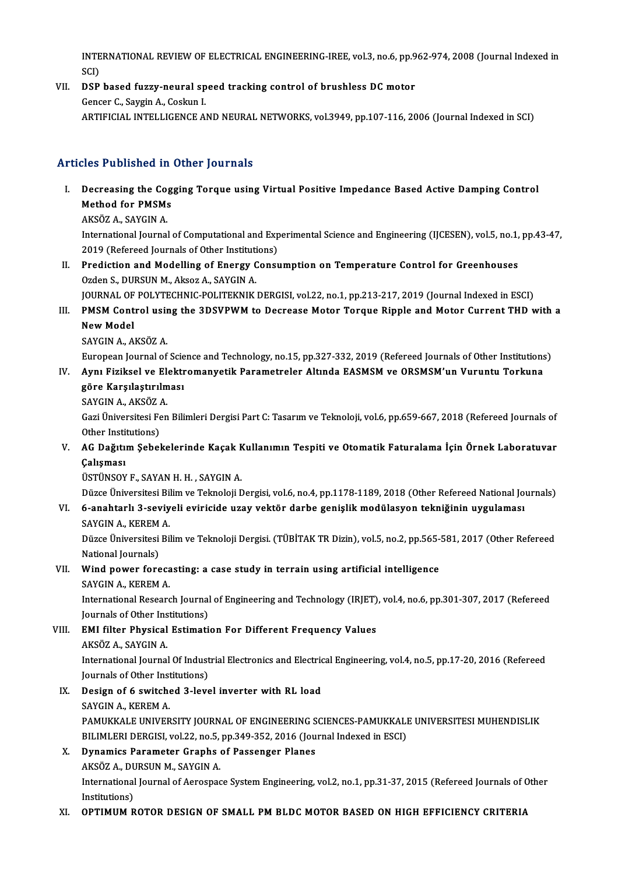INTERNATIONAL REVIEW OF ELECTRICAL ENGINEERING-IREE, vol.3, no.6, pp.962-974, 2008 (Journal Indexed in<br>SCD INTE<br>SCI)<br>DSP INTERNATIONAL REVIEW OF ELECTRICAL ENGINEERING-IREE, vol.3, no.6, pp.9<br>SCI)<br>VII. DSP based fuzzy-neural speed tracking control of brushless DC motor

SCI)<br>DSP based fuzzy-neural sp<br>Gencer C., Saygin A., Coskun I.<br>APTIEICIAL INTELLICENCE A Gencer C., Saygin A., Coskun I.<br>ARTIFICIAL INTELLIGENCE AND NEURAL NETWORKS, vol.3949, pp.107-116, 2006 (Journal Indexed in SCI)

### Articles Published in Other Journals

- rticles Published in Other Journals<br>I. Decreasing the Cogging Torque using Virtual Positive Impedance Based Active Damping Control<br>Methed for PMSMs Method for PMSMs<br>Decreasing the Cog<br>Method for PMSMs Decreasing the Co<sub>l</sub><br>Method for PMSMs<br>AKSÖZ A., SAYGIN A.<br>International Journal
	-

Method for PMSMs<br>AKSÖZ A., SAYGIN A.<br>International Journal of Computational and Experimental Science and Engineering (IJCESEN), vol.5, no.1, pp.43-47,<br>2019 (Refereed Journals of Other Institutions) AKSÖZ A., SAYGIN A.<br>International Journal of Computational and Exp<br>2019 (Refereed Journals of Other Institutions)<br>Prediction and Modelling of Energy Consy International Journal of Computational and Experimental Science and Engineering (IJCESEN), vol.5, no.1,<br>2019 (Refereed Journals of Other Institutions)<br>II. Prediction and Modelling of Energy Consumption on Temperature Contr

2019 (Refereed Journals of Other Institutions)<br>II. Prediction and Modelling of Energy Consumption on Temperature Control for Greenhouses<br>Ozden S., DURSUN M., Aksoz A., SAYGIN A. Prediction and Modelling of Energy Consumption on Temperature Control for Greenhouses<br>Ozden S., DURSUN M., Aksoz A., SAYGIN A.<br>JOURNAL OF POLYTECHNIC-POLITEKNIK DERGISI, vol.22, no.1, pp.213-217, 2019 (Journal Indexed in E

### Ozden S., DURSUN M., Aksoz A., SAYGIN A.<br>JOURNAL OF POLYTECHNIC-POLITEKNIK DERGISI, vol.22, no.1, pp.213-217, 2019 (Journal Indexed in ESCI)<br>III. PMSM Control using the 3DSVPWM to Decrease Motor Torque Ripple and Motor Cur **JOURNAL OF<br>PMSM Cont<br>New Model**<br>SAVCIMA A PMSM Control usir<br>New Model<br>SAYGIN A., AKSÖZ A.<br>European Journal of New Model<br>SAYGIN A., AKSÖZ A.<br>European Journal of Science and Technology, no.15, pp.327-332, 2019 (Refereed Journals of Other Institutions)<br>Auny Firiksel ve Elektromanyetik Peremetreler, Altude FASMSM ve OBSMSM'un Vuruntu

### SAYGIN A., AKSÖZ A.<br>European Journal of Science and Technology, no.15, pp.327-332, 2019 (Refereed Journals of Other Institutions<br>IV. Aynı Fiziksel ve Elektromanyetik Parametreler Altında EASMSM ve ORSMSM'un Vuruntu Tor European Journal of Scie<br>Aynı Fiziksel ve Elektr<br>göre Karşılaştırılması<br>SAVCIN A AKSÖZA Aynı Fiziksel ve Ele<br>göre Karşılaştırılm<br>SAYGIN A., AKSÖZ A.<br>Ceri Üniversitesi Fen

SAYGIN A., AKSÖZ A.

göre Karşılaştırılması<br>SAYGIN A., AKSÖZ A.<br>Gazi Üniversitesi Fen Bilimleri Dergisi Part C: Tasarım ve Teknoloji, vol.6, pp.659-667, 2018 (Refereed Journals of<br>Other Institutions) Gazi Üniversitesi Fen Bilimleri Dergisi Part C: Tasarım ve Teknoloji, vol.6, pp.659-667, 2018 (Refereed Journals of Other Institutions)<br>V. AG Dağıtım Şebekelerinde Kaçak Kullanımın Tespiti ve Otomatik Faturalama İçin Ö

## Other Insti<br>AG Dağıtı:<br>Çalışması<br>ÜSTÜNSOV AG Dağıtım Şebekelerinde Kaçak F<br>Çalışması<br>ÜSTÜNSOY F., SAYAN H. H. , SAYGIN A.<br>Düzee Üniversitesi Bilim ve Telmoleji E

Çalışması<br>ÜSTÜNSOY F., SAYAN H. H. , SAYGIN A.<br>Düzce Üniversitesi Bilim ve Teknoloji Dergisi, vol.6, no.4, pp.1178-1189, 2018 (Other Refereed National Journals)<br>6. anabtarlı 3. seviyali eviriside uray yektör, darbe geniali

### ÜSTÜNSOY F., SAYAN H. H. , SAYGIN A.<br>Düzce Üniversitesi Bilim ve Teknoloji Dergisi, vol.6, no.4, pp.1178-1189, 2018 (Other Refereed National Jo<br>VI. 6-anahtarlı 3-seviyeli eviricide uzay vektör darbe genişlik modülasyon tek Düzce Üniversitesi Bil<br>6-anahtarlı 3-seviy<br>SAYGIN A., KEREM A.<br>Dürce Üniversitesi Bil 6-anahtarlı 3-seviyeli eviricide uzay vektör darbe genişlik modülasyon tekniğinin uygulaması<br>SAYGIN A., KEREM A.<br>Düzce Üniversitesi Bilim ve Teknoloji Dergisi. (TÜBİTAK TR Dizin), vol.5, no.2, pp.565-581, 2017 (Other Refer

SAYGIN A., KEREM<br>Düzce Üniversitesi<br>National Journals)<br>Wind nower fore Düzce Üniversitesi Bilim ve Teknoloji Dergisi. (TÜBİTAK TR Dizin), vol.5, no.2, pp.565-<br>National Journals)<br>VII. Wind power forecasting: a case study in terrain using artificial intelligence<br>SAVCIN A, KEREM A

# National Journals)<br>Wind power foreca<br>SAYGIN A., KEREM A.<br>International Becears

SAYGIN A., KEREM A.<br>International Research Journal of Engineering and Technology (IRJET), vol.4, no.6, pp.301-307, 2017 (Refereed Journals of Other Institutions) International Research Journal of Engineering and Technology (IRJET)<br>Journals of Other Institutions)<br>VIII. EMI filter Physical Estimation For Different Frequency Values<br>AKSÖZ A SAVCIN A

### Journals of Other Ins<br>**EMI filter Physical**<br>AKSÖZ A., SAYGIN A.<br>International Journal EMI filter Physical Estimation For Different Frequency Values<br>AKSÖZ A., SAYGIN A.<br>International Journal Of Industrial Electronics and Electrical Engineering, vol.4, no.5, pp.17-20, 2016 (Refereed<br>Journals of Other Institut AKSÖZ A., SAYGIN A.<br>International Journal Of Indust<br>Journals of Other Institutions)<br>Design of 6 switched 3 Joys

Journals of Other Institutions)

### IX. Design of 6 switched 3-level inverter with RL load<br>SAYGIN A., KEREM A.

Design of 6 switched 3-level inverter with RL load<br>SAYGIN A., KEREM A.<br>PAMUKKALE UNIVERSITY JOURNAL OF ENGINEERING SCIENCES-PAMUKKALE UNIVERSITESI MUHENDISLIK<br>PU IMLERLDERCISL VAL22, no 5, nn 240,252, 2016 (Journal Indoved SAYGIN A., KEREM A.<br>PAMUKKALE UNIVERSITY JOURNAL OF ENGINEERING SCIENCES-PAMUKKALI<br>BILIMLERI DERGISI, vol.22, no.5, pp.349-352, 2016 (Journal Indexed in ESCI)<br>Dunamics Barametar Crapbe of Bassangar Planes PAMUKKALE UNIVERSITY JOURNAL OF ENGINEERING S<br>BILIMLERI DERGISI, vol.22, no.5, pp.349-352, 2016 (Jou<br>X. Dynamics Parameter Graphs of Passenger Planes BILIMLERI DERGISI, vol.22, no.5, pp.349-352, 2016 (Journal Indexed in ESCI)<br>X. Dynamics Parameter Graphs of Passenger Planes

### AKSÖZ A., DURSUN M., SAYGIN A.

International Journal of Aerospace System Engineering, vol.2, no.1, pp.31-37, 2015 (Refereed Journals of Other<br>Institutions)

#### XI. OPTIMUMROTOR DESIGN OF SMALL PMBLDCMOTOR BASED ON HIGH EFFICIENCY CRITERIA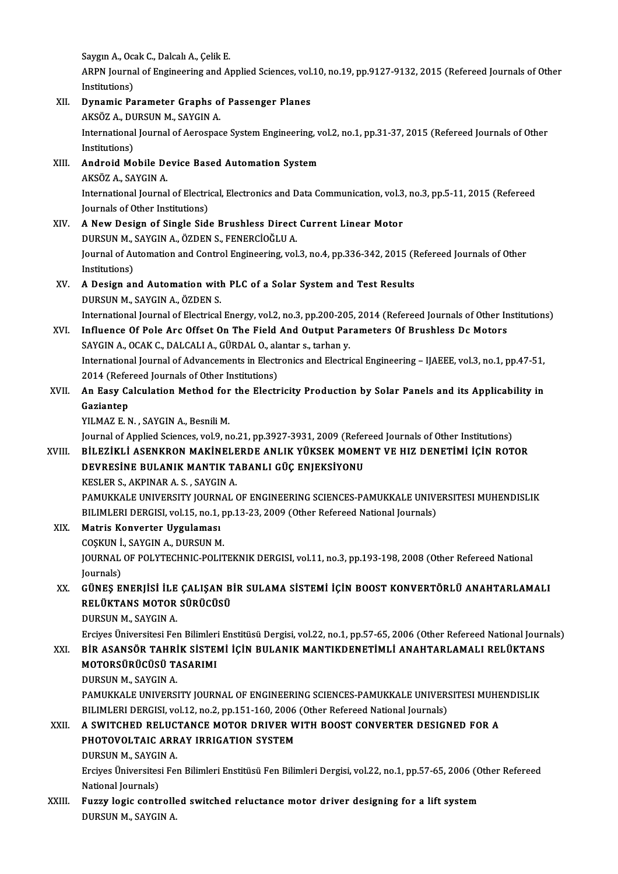Saygın A., Ocak C., Dalcalı A., Çelik E.<br>APPN Journal of Engineering and A.

ARPN Journal of Engineering and Applied Sciences, vol.10, no.19, pp.9127-9132, 2015 (Refereed Journals of Other<br>Institutions) Saygin A., Oca<br>ARPN Journa<br>Institutions)<br>Dynamia Bo ARPN Journal of Engineering and Applied Sciences, vol.<br>Institutions)<br>XII. Dynamic Parameter Graphs of Passenger Planes<br>AVSÖZA DURSUN M SAVGNA

Institutions)<br>Dynamic Parameter Graphs o<br>AKSÖZ A., DURSUN M., SAYGIN A.<br>International Journal of Aerocrac Dynamic Parameter Graphs of Passenger Planes<br>AKSÖZ A., DURSUN M., SAYGIN A.<br>International Journal of Aerospace System Engineering, vol.2, no.1, pp.31-37, 2015 (Refereed Journals of Other<br>Institutions) AKSÖZ A., DURSUN M., SAYGIN A.<br>International Journal of Aerospac<br>Institutions) International Journal of Aerospace System Engineering, v<br>Institutions)<br>XIII. Android Mobile Device Based Automation System<br>AESOZA SAVCINA Android Mobile Device Based Automation System<br>AKSÖZ A., SAYGIN A. Android Mobile Device Based Automation System<br>AKSÖZ A., SAYGIN A.<br>International Journal of Electrical, Electronics and Data Communication, vol.3, no.3, pp.5-11, 2015 (Refereed<br>Journals of Other Institutions) AKSÖZ A., SAYGIN A.<br>International Journal of Electri<br>Journals of Other Institutions)<br>A Now Dosian of Single Sid Journals of Other Institutions)<br>XIV. A New Design of Single Side Brushless Direct Current Linear Motor DURSUNM.,SAYGINA.,ÖZDENS.,FENERCİOĞLUA. A New Design of Single Side Brushless Direct Current Linear Motor<br>DURSUN M., SAYGIN A., ÖZDEN S., FENERCİOĞLU A.<br>Journal of Automation and Control Engineering, vol.3, no.4, pp.336-342, 2015 (Refereed Journals of Other<br>Inst DURSUN M., S<br>Journal of Au<br>Institutions)<br>A Design an Journal of Automation and Control Engineering, vol.3, no.4, pp.336-342, 2015 (F<br>Institutions)<br>XV. A Design and Automation with PLC of a Solar System and Test Results<br>DURSUN M. SAVCIN A ÖZDEN S Institutions)<br>XV. A Design and Automation with PLC of a Solar System and Test Results<br>DURSUN M., SAYGIN A., ÖZDEN S. A Design and Automation with PLC of a Solar System and Test Results<br>DURSUN M., SAYGIN A., ÖZDEN S.<br>International Journal of Electrical Energy, vol.2, no.3, pp.200-205, 2014 (Refereed Journals of Other Institutions)<br>Influen DURSUN M., SAYGIN A., ÖZDEN S.<br>International Journal of Electrical Energy, vol.2, no.3, pp.200-205, 2014 (Refereed Journals of Other In<br>XVI. Influence Of Pole Arc Offset On The Field And Output Parameters Of Brushless Dc M International Journal of Electrical Energy, vol.2, no.3, pp.200-205<br>Influence Of Pole Arc Offset On The Field And Output Par<br>SAYGIN A., OCAK C., DALCALI A., GÜRDAL O., alantar s., tarhan y.<br>International Journal of Advance Influence Of Pole Arc Offset On The Field And Output Parameters Of Brushless Dc Motors<br>SAYGIN A., OCAK C., DALCALI A., GÜRDAL O., alantar s., tarhan y.<br>International Journal of Advancements in Electronics and Electrical En SAYGIN A., OCAK C., DALCALI A., GÜRDAL O., alantar s., tarhan y. International Journal of Advancements in Electronics and Electrical Engineering – IJAEEE, vol.3, no.1, pp.47-51,<br>2014 (Refereed Journals of Other Institutions)<br>XVII. An Easy Calculation Method for the Electricity Productio 2014 (Refer<br>An Easy Ca<br>Gaziantep<br>VII MAZE N An Easy Calculation Method for<br>Gaziantep<br>YILMAZ E. N. , SAYGIN A., Besnili M.<br>Journal of Applied Sciences vol.9, n Gaziantep<br>YILMAZ E. N. , SAYGIN A., Besnili M.<br>Journal of Applied Sciences, vol.9, no.21, pp.3927-3931, 2009 (Refereed Journals of Other Institutions)<br>PU EZİKLİ ASENKRON MAKİNELERDE ANLIK VÜKSEK MOMENT VE HIZ DENETİMİ İÇİN YILMAZ E. N. , SAYGIN A., Besnili M.<br>Journal of Applied Sciences, vol.9, no.21, pp.3927-3931, 2009 (Refereed Journals of Other Institutions)<br>XVIII. BİLEZİKLİ ASENKRON MAKİNELERDE ANLIK YÜKSEK MOMENT VE HIZ DENETİMİ İÇİN RO Journal of Applied Sciences, vol.9, no.21, pp.3927-3931, 2009 (Refer<br>BİLEZİKLİ ASENKRON MAKİNELERDE ANLIK YÜKSEK MOME<br>DEVRESİNE BULANIK MANTIK TABANLI GÜÇ ENJEKSİYONU<br>KESLER SAAKPINARA SASAYCINA KESLERS.,AKPINARA.S. ,SAYGINA. PAMUKKALE UNIVERSITY JOURNAL OF ENGINEERING SCIENCES-PAMUKKALE UNIVERSITESI MUHENDISLIK KESLER S., AKPINAR A. S. , SAYGIN A.<br>PAMUKKALE UNIVERSITY JOURNAL OF ENGINEERING SCIENCES-PAMUKKALE UNIVI<br>BILIMLERI DERGISI, vol.15, no.1, pp.13-23, 2009 (Other Refereed National Journals)<br>Matris Konverter Hygulaması XIX. Matris Konverter Uygulaması BILIMLERI DERGISI, vol.15, no.1, p<br>Matris Konverter Uygulaması<br>COŞKUN İ., SAYGIN A., DURSUN M.<br>JOUPNAL OF POLYTECHNIC POLIT JOURNAL OF POLYTECHNIC-POLITEKNIK DERGISI, vol.11, no.3, pp.193-198, 2008 (Other Refereed National Journals) COSKUN İ., SAYGIN A., DURSUN M. JOURNAL OF POLYTECHNIC-POLITEKNIK DERGISI, vol.11, no.3, pp.193-198, 2008 (Other Refereed National<br>Journals)<br>RELÜKTANS MOTOR SÜRÜCÜSÜ Journals)<br>GÜNEŞ ENERJİSİ İLE ÇALIŞAN B<br>RELÜKTANS MOTOR SÜRÜCÜSÜ<br>DURSUN M. SAYCIN A RELÜKTANS MOTOR SÜRÜCÜSÜ<br>DURSUN M., SAYGIN A. RELÜKTANS MOTOR SÜRÜCÜSÜ<br>DURSUN M., SAYGIN A.<br>Erciyes Üniversitesi Fen Bilimleri Enstitüsü Dergisi, vol.22, no.1, pp.57-65, 2006 (Other Refereed National Journals)<br>PİP ASANSÖR TAHRİK SİSTEMİ İCİN RIJI ANIK MANTIKDENETİMI İ XXI. BİR ASANSÖR TAHRİK SİSTEMİ İÇİN BULANIK MANTIKDENETİMLİ ANAHTARLAMALI RELÜKTANS Erciyes Üniversitesi Fen Bilimleri<br>BİR ASANSÖR TAHRİK SİSTEI<br>MOTORSÜRÜCÜSÜ TASARIMI<br>DUBSUN M. SAYCIN A MOTORSÜRÜCÜSÜ TASARIMI<br>DURSUN M., SAYGIN A. MOTORSÜRÜCÜSÜ TASARIMI<br>DURSUN M., SAYGIN A.<br>PAMUKKALE UNIVERSITY JOURNAL OF ENGINEERING SCIENCES-PAMUKKALE UNIVERSITESI MUHENDISLIK<br>PILIMI ERLDERCISL VAL12, no.2, nn.151,160,2006 (Other Refereed National Jaurnale). DURSUN M., SAYGIN A.<br>PAMUKKALE UNIVERSITY JOURNAL OF ENGINEERING SCIENCES-PAMUKKALE UNIVER:<br>BILIMLERI DERGISI, vol.12, no.2, pp.151-160, 2006 (Other Refereed National Journals)<br>A SWITCHED BELUCTANCE MOTOR DRIVER WITH BOOST PAMUKKALE UNIVERSITY JOURNAL OF ENGINEERING SCIENCES-PAMUKKALE UNIVERSITESI MUHE<br>BILIMLERI DERGISI, vol.12, no.2, pp.151-160, 2006 (Other Refereed National Journals)<br>XXII. A SWITCHED RELUCTANCE MOTOR DRIVER WITH BOOST CONV BILIMLERI DERGISI, vol.12, no.2, pp.151-160, 2006 (Other Refereed National Journals)<br>A SWITCHED RELUCTANCE MOTOR DRIVER WITH BOOST CONVERTER DESIGNED FOR A<br>PHOTOVOLTAIC ARRAY IRRIGATION SYSTEM DURSUN M., SAYGIN A. PHOTOVOLTAIC ARRAY IRRIGATION SYSTEM<br>DURSUN M., SAYGIN A.<br>Erciyes Üniversitesi Fen Bilimleri Enstitüsü Fen Bilimleri Dergisi, vol.22, no.1, pp.57-65, 2006 (Other Refereed<br>National Journale) DURSUN M., SAYGI<br>Erciyes Üniversites<br>National Journals)<br>Euggy Logie contr Erciyes Üniversitesi Fen Bilimleri Enstitüsü Fen Bilimleri Dergisi, vol.22, no.1, pp.57-65, 2006 (O<br>National Journals)<br>XXIII. Fuzzy logic controlled switched reluctance motor driver designing for a lift system<br>NUBSUN M. SA National Journals)<br><mark>Fuzzy logic controll</mark>e<br>DURSUN M., SAYGIN A.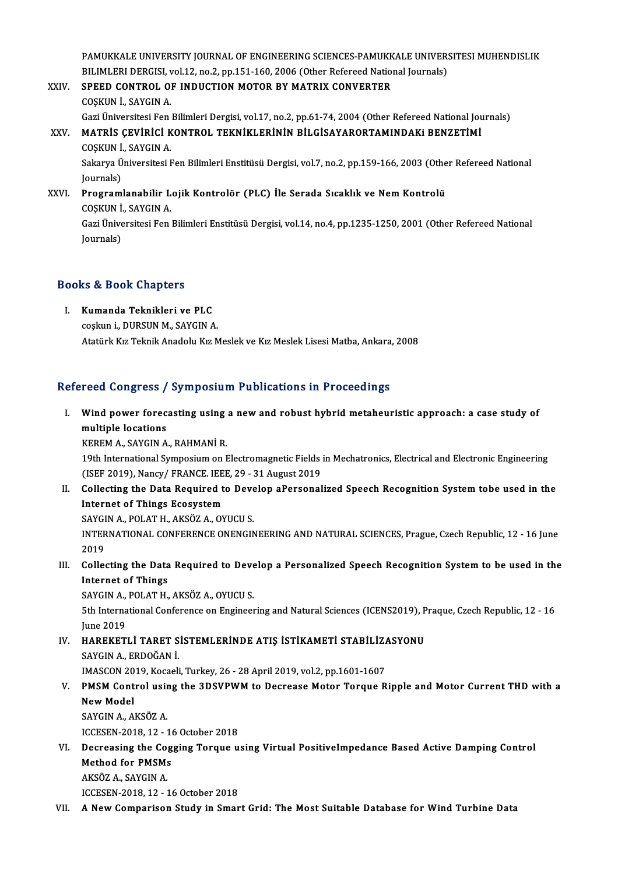PAMUKKALE UNIVERSITY JOURNAL OF ENGINEERING SCIENCES-PAMUKKALE UNIVERSITESI MUHENDISLIK<br>PU IMLERI DERGISLIYAL12, no.2, nn.151,160,2006 (Other Refereed National Jaurnale) PAMUKKALE UNIVERSITY JOURNAL OF ENGINEERING SCIENCES-PAMUKKALE UNIVER:<br>BILIMLERI DERGISI, vol.12, no.2, pp.151-160, 2006 (Other Refereed National Journals)<br>SPEED CONTROL OF INDUCTION MOTOR BY MATRIX CONVERTER PAMUKKALE UNIVERSITY JOURNAL OF ENGINEERING SCIENCES-PAMUKK<br>BILIMLERI DERGISI, vol.12, no.2, pp.151-160, 2006 (Other Refereed Natio:<br>XXIV. SPEED CONTROL OF INDUCTION MOTOR BY MATRIX CONVERTER

BILIMLERI DERGISI, vol.12, no.2, pp.151-160, 2006 (Other Refereed National Journals)<br>SPEED CONTROL OF INDUCTION MOTOR BY MATRIX CONVERTER<br>COSKUN İ., SAYGIN A. Gazi Üniversitesi Fen Bilimleri Dergisi, vol.17, no.2, pp.61-74, 2004 (Other Refereed National Journals) COŞKUN İ., SAYGIN A.<br>Gazi Üniversitesi Fen Bilimleri Dergisi, vol.17, no.2, pp.61-74, 2004 (Other Refereed National Jou<br>XXV. MATRİS ÇEVİRİCİ KONTROL TEKNİKLERİNİN BİLGİSAYARORTAMINDAKi BENZETİMİ Gazi Üniversitesi Fen<br>MATRİS ÇEVİRİCİ K<br>COŞKUN İ., SAYGIN A.<br>Sakarya Üniversitesi L MATRİS ÇEVİRİCİ KONTROL TEKNİKLERİNİN BİLGİSAYARORTAMINDAKI BENZETİMİ<br>COŞKUN İ., SAYGIN A.<br>Sakarya Üniversitesi Fen Bilimleri Enstitüsü Dergisi, vol.7, no.2, pp.159-166, 2003 (Other Refereed National<br>Journale) COŞKUN İ., SAYGIN A.<br>Sakarya Üniversitesi Fen Bilimleri Enstitüsü Dergisi, vol.7, no.2, pp.159-166, 2003 (Other Refereed National<br>Journals)

Sakarya Üniversitesi Fen Bilimleri Enstitüsü Dergisi, vol.7, no.2, pp.159-166, 2003 (Othe<br>Journals)<br>XXVI. Programlanabilir Lojik Kontrolör (PLC) İle Serada Sıcaklık ve Nem Kontrolü<br>COSKUN İ. SAVCIN A Journals)<br><mark>Programlanabilir L</mark><br>COȘKUN İ., SAYGIN A.<br>Cari Üniversitesi Ean Gazi Üniversitesi Fen Bilimleri Enstitüsü Dergisi, vol.14, no.4, pp.1235-1250, 2001 (Other Refereed National Journals) COŞKUN İ., SAYGIN A.

### Books&Book Chapters

I. Kumanda Teknikleri ve PLC coskun i., DURSUN M., SAYGIN A. Atatürk Kız Teknik Anadolu Kız Meslek ve Kız Meslek Lisesi Matba, Ankara, 2008

#### Refereed Congress / Symposium Publications in Proceedings

efereed Congress / Symposium Publications in Proceedings<br>I. Wind power forecasting using a new and robust hybrid metaheuristic approach: a case study of<br>multiple locations Mind power forest<br>multiple locations<br>EXPEM A SAVCINA Wind power forecasting using<br>multiple locations<br>KEREM A., SAYGIN A., RAHMANİ R.<br>10th International Sumnesium on L

multiple locations<br>KEREM A., SAYGIN A., RAHMANİ R.<br>19th International Symposium on Electromagnetic Fields in Mechatronics, Electrical and Electronic Engineering<br>(ISEE 2019), Nangy ( ERANCE JEEE 29 - 21 August 2019 KEREM A., SAYGIN A., RAHMANİ R.<br>19th International Symposium on Electromagnetic Fields<br>(ISEF 2019), Nancy/ FRANCE. IEEE, 29 - 31 August 2019<br>Collecting the Data Bequired to Develop aPersonal 19th International Symposium on Electromagnetic Fields in Mechatronics, Electrical and Electronic Engineering<br>(ISEF 2019), Nancy/FRANCE. IEEE, 29 - 31 August 2019<br>II. Collecting the Data Required to Develop aPersonalized S

(ISEF 2019), Nancy/ FRANCE. IEE<br>Collecting the Data Required t<br>Internet of Things Ecosystem Collecting the Data Required to Deve<br>Internet of Things Ecosystem<br>SAYGIN A., POLAT H., AKSÖZ A., OYUCU S.<br>INTERNATIONAL CONEERENCE ONENCIA

Internet of Things Ecosystem<br>SAYGIN A., POLAT H., AKSÖZ A., OYUCU S.<br>INTERNATIONAL CONFERENCE ONENGINEERING AND NATURAL SCIENCES, Prague, Czech Republic, 12 - 16 June SAYGI<br>INTER<br>2019<br>Collec INTERNATIONAL CONFERENCE ONENGINEERING AND NATURAL SCIENCES, Prague, Czech Republic, 12 - 16 June<br>2019<br>III. Collecting the Data Required to Develop a Personalized Speech Recognition System to be used in the<br>Internet of Thi

2019<br>III. Collecting the Data Required to Develop a Personalized Speech Recognition System to be used in the<br>Internet of Things Collecting the Data Required to Deve<br>Internet of Things<br>SAYGIN A., POLAT H., AKSÖZ A., OYUCU S.<br>Eth International Conference on Engineer

5th International Conference on Engineering and Natural Sciences (ICENS2019), Praque, Czech Republic, 12 - 16<br>June 2019 SAYGIN A.,<br>5th Interna<br>June 2019<br>HABEKET 5th International Conference on Engineering and Natural Sciences (ICENS2019), P<br>June 2019<br>IV. HAREKETLİ TARET SİSTEMLERİNDE ATIŞ İSTİKAMETİ STABİLİZASYONU<br>SAVCIN A ERDOĞAN İ

June 2019<br>HAREKETLİ TARET S<br>SAYGIN A., ERDOĞAN İ.<br>IMASCON 2019, Kosasli HAREKETLI TARET SISTEMLERINDE ATIŞ ISTIKAMETI STABILIZ*I*<br>SAYGIN A., ERDOĞAN İ.<br>IMASCON 2019, Kocaeli, Turkey, 26 - 28 April 2019, vol.2, pp.1601-1607<br>PMSM Control using the 2DSVPWM to Degreese Moter Tergue P

### SAYGIN A., ERDOĞAN İ.<br>IMASCON 2019, Kocaeli, Turkey, 26 - 28 April 2019, vol.2, pp.1601-1607<br>V. PMSM Control using the 3DSVPWM to Decrease Motor Torque Ripple and Motor Current THD with a<br>Naw Model IMASCON 20<br>**PMSM Cont<br>New Model**<br>SAVCIN A A PMSM Control usir<br>New Model<br>SAYGIN A., AKSÖZ A.<br>ICCESEN 2019-12-1

New Model<br>SAYGIN A., AKSÖZ A.<br>ICCESEN-2018, 12 - 16 October 2018<br>Desusesing the Cogging Tengue u

SAYGIN A., AKSÖZ A.<br>ICCESEN-2018, 12 - 16 October 2018<br>VI. Decreasing the Cogging Torque using Virtual PositiveImpedance Based Active Damping Control<br>Method for PMSMe ICCESEN-2018, 12 - 1<br>Decreasing the Cog<br>Method for PMSMs Decreasing the Co<sub>{</sub><br>Method for PMSMs<br>AKSÖZ A., SAYGIN A.<br>ICCESEN 2019-12-1 Method for PMSMs<br>AKSÖZ A., SAYGIN A.<br>ICCESEN-2018. 12 - 16 October 2018

VII. A New Comparison Study in Smart Grid: The Most Suitable Database for Wind Turbine Data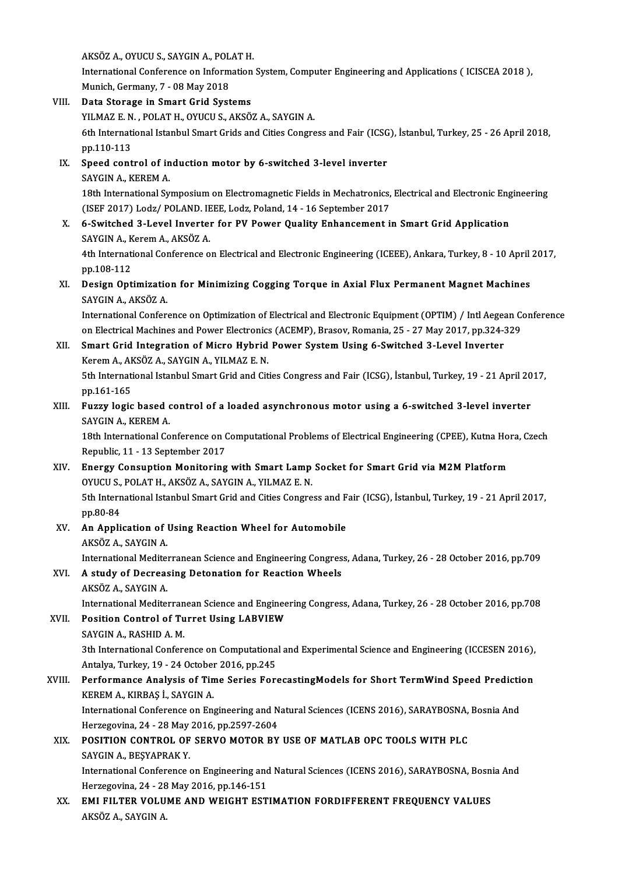**AKSÖZ A., OYUCU S., SAYGIN A., POLAT H.<br>International Conference on Information** 

International Conference on Information System, Computer Engineering and Applications (ICISCEA 2018 ),<br>Munich, Germany, 7 - 08 May 2018 AKSÖZ A., OYUCU S., SAYGIN A., POL<br>International Conference on Inform<br>Munich, Germany, 7 - 08 May 2018<br>Pata Stanaga in Smant Crid Syst

- VIII. Data Storage in Smart Grid Systems Munich, Germany, 7 - 08 May 2018<br>Data Storage in Smart Grid Systems<br>YILMAZ E. N. , POLAT H., OYUCU S., AKSÖZ A., SAYGIN A.<br>6th International Istanbul Smart Cride and Cities Congre 6th International Istanbul Smart Grids and Cities Congress and Fair (ICSG), İstanbul, Turkey, 25 - 26 April 2018, pp. 110-113 YILMAZ E. N<br>6th Internati<br>pp.110-113<br>Speed cent 6th International Istanbul Smart Grids and Cities Congress and Fair (ICSG<br>pp.110-113<br>IX. Speed control of induction motor by 6-switched 3-level inverter<br>SAVCIN A VEREM A
	- pp.110-113<br>Speed control of in<br>SAYGIN A., KEREM A.<br>19th International Sy Speed control of induction motor by 6-switched 3-level inverter<br>SAYGIN A., KEREM A.<br>18th International Symposium on Electromagnetic Fields in Mechatronics, Electrical and Electronic Engineering<br>(ISEE 2017) Lodg ( POLAND, I SAYGIN A., KEREM A.<br>18th International Symposium on Electromagnetic Fields in Mechatronics,<br>(ISEF 2017) Lodz/ POLAND. IEEE, Lodz, Poland, 14 - 16 September 2017<br>6. Suitshed 3. Lovel Inventer for BV Bouer Quality Enhancemen (ISEF 2017) Lodz/ POLAND. IEEE, Lodz, Poland, 14 - 16 September 2017
	- X. 6-Switched 3-Level Inverter for PV Power Quality Enhancement in Smart Grid Application 6-Switched 3-Level Inverter for PV Power Quality Enhancement in Smart Grid Application<br>SAYGIN A., Kerem A., AKSÖZ A.<br>4th International Conference on Electrical and Electronic Engineering (ICEEE), Ankara, Turkey, 8 - 10 Apr

SAYGIN A., K<br>4th Internati<br>pp.108-112<br>Design Ont 4th International Conference on Electrical and Electronic Engineering (ICEEE), Ankara, Turkey, 8 - 10 April<br>pp.108-112<br>XI. Design Optimization for Minimizing Cogging Torque in Axial Flux Permanent Magnet Machines

## pp.108-112<br>XI. Design Optimization for Minimizing Cogging Torque in Axial Flux Permanent Magnet Machines<br>SAYGIN A., AKSÖZ A.

International Conference on Optimization of Electrical and Electronic Equipment (OPTIM) / Intl Aegean Conference SAYGIN A., AKSÖZ A.<br>International Conference on Optimization of Electrical and Electronic Equipment (OPTIM) / Intl Aegean Conferen<br>On Electrical Machines and Power Electronics (ACEMP), Brasov, Romania, 25 - 27 May 2017, pp

- XII. Smart Grid Integration of Micro Hybrid Power System Using 6-Switched 3-Level Inverter<br>Kerem A., AKSÖZ A., SAYGIN A., YILMAZ E. N. on Electrical Machines and Power Electronics<br>Smart Grid Integration of Micro Hybrid<br>Kerem A., AKSÖZ A., SAYGIN A., YILMAZ E. N.<br>Eth International Istanbul Smart Crid and Cit 5th International Istanbul Smart Grid and Cities Congress and Fair (ICSG), İstanbul, Turkey, 19 - 21 April 2017, pp.161-165 Sth International Istanbul Smart Grid and Cities Congress and Fair (ICSG), İstanbul, Turkey, 19 - 21 April 20<br>pp.161-165<br>XIII. Fuzzy logic based control of a loaded asynchronous motor using a 6-switched 3-level inverter<br>SA
- pp.161-165<br>Fuzzy logic based c<br>SAYGIN A., KEREM A.<br>19th International Co Fuzzy logic based control of a loaded asynchronous motor using a 6-switched 3-level inverter<br>SAYGIN A., KEREM A.<br>18th International Conference on Computational Problems of Electrical Engineering (CPEE), Kutna Hora, Czech<br>P

SAYGIN A., KEREM A.<br>18th International Conference on C<br>Republic, 11 - 13 September 2017<br>Energy Consuntion Monitoring 18th International Conference on Computational Problems of Electrical Engineering (CPEE), Kutna Ho:<br>Republic, 11 - 13 September 2017<br>XIV. Energy Consuption Monitoring with Smart Lamp Socket for Smart Grid via M2M Platform<br>

- Republic, 11 13 September 2017<br>Energy Consuption Monitoring with Smart Lamp<br>OYUCU S., POLAT H., AKSÖZ A., SAYGIN A., YILMAZ E. N.<br>Eth International Istanbul Smart Crid and Gities Congre 5th International Istanbul Smart Grid and Cities Congress and Fair (ICSG), İstanbul, Turkey, 19 - 21 April 2017,<br>pp.80-84 OYUCU S., POLAT H., AKSÖZ A., SAYGIN A., YILMAZ E. N. 5th International Istanbul Smart Grid and Cities Congress and F<br>pp.80-84<br>XV. An Application of Using Reaction Wheel for Automobile<br>AVSÖZA SAVGNA
- pp.80-84<br><mark>An Application of</mark> l<br>AKSÖZ A., SAYGIN A.<br>International Medite AKSÖZ A., SAYGIN A.<br>International Mediterranean Science and Engineering Congress, Adana, Turkey, 26 - 28 October 2016, pp.709
- AKSÖZ A., SAYGIN A.<br>International Mediterranean Science and Engineering Congres<br>XVI. A study of Decreasing Detonation for Reaction Wheels International Mediter<br>A study of Decreas<br>AKSÖZ A., SAYGIN A.<br>International Mediter AKSÖZ A., SAYGIN A.<br>International Mediterranean Science and Engineering Congress, Adana, Turkey, 26 - 28 October 2016, pp.708 AKSÖZ A., SAYGIN A.<br>International Mediterranean Science and Enginee<br>XVII. Position Control of Turret Using LABVIEW

International Mediterran<br>Position Control of Tu<br>SAYGIN A., RASHID A. M.<br><sup>2th International Confore</sup>

SAYGIN A., RASHID A. M.<br>3th International Conference on Computational and Experimental Science and Engineering (ICCESEN 2016), SAYGIN A., RASHID A. M.<br>3th International Conference on Computationa<br>Antalya, Turkey, 19 - 24 October 2016, pp.245<br>Performance Analysis of Time Series Fore 3th International Conference on Computational and Experimental Science and Engineering (ICCESEN 2016),<br>Antalya, Turkey, 19 - 24 October 2016, pp.245<br>XVIII. Performance Analysis of Time Series ForecastingModels for Short Te

## Antalya, Turkey, 19 - 24 October<br>Performance Analysis of Tin<br>KEREM A., KIRBAŞ İ., SAYGIN A.<br>International Conference on En Performance Analysis of Time Series ForecastingModels for Short TermWind Speed Predictional Conference on Engineering and Natural Sciences (ICENS 2016), SARAYBOSNA, Bosnia And<br>International Conference on Engineering and Na

KEREM A., KIRBAŞ İ., SAYGIN A.<br>International Conference on Engineering and Natural Sciences (ICENS 2016), SARAYBOSNA, Bosnia And<br>Herzegovina, 24 - 28 May 2016, pp.2597-2604 International Conference on Engineering and Natural Sciences (ICENS 2016), SARAYBOSNA,<br>Herzegovina, 24 - 28 May 2016, pp.2597-2604<br>XIX. POSITION CONTROL OF SERVO MOTOR BY USE OF MATLAB OPC TOOLS WITH PLC

## Herzegovina, 24 - 28 May<br>POSITION CONTROL OF<br>SAYGIN A., BEŞYAPRAK Y.<br>International Conference POSITION CONTROL OF SERVO MOTOR BY USE OF MATLAB OPC TOOLS WITH PLC<br>SAYGIN A., BEŞYAPRAK Y.<br>International Conference on Engineering and Natural Sciences (ICENS 2016), SARAYBOSNA, Bosnia And<br>Harragovina 24 - 28 May 2016 np

SAYGIN A., BEŞYAPRAK Y.<br>International Conference on Engineering and<br>Herzegovina, 24 - 28 May 2016, pp.146-151<br>EMLEU TER VOLUME AND WEICHT EST International Conference on Engineering and Natural Sciences (ICENS 2016), SARAYBOSNA, Bosn:<br>Herzegovina, 24 - 28 May 2016, pp.146-151<br>XX. EMI FILTER VOLUME AND WEIGHT ESTIMATION FORDIFFERENT FREQUENCY VALUES

Herzegovina, 24 - 28<br><mark>EMI FILTER VOLU</mark><br>AKSÖZ A., SAYGIN A.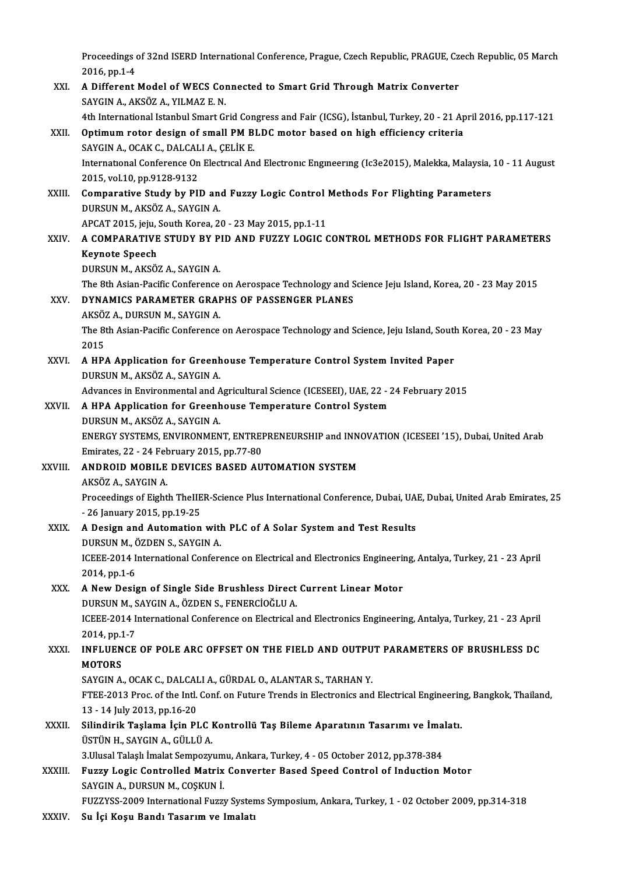Proceedings of 32nd ISERD International Conference, Prague, Czech Republic, PRAGUE, Czech Republic, 05 March<br>2016.pp 1.4 Proceedings<br>2016, pp.1-4<br>A Different Proceedings of 32nd ISERD International Conference, Prague, Czech Republic, PRAGUE, Cz<br>2016, pp.1-4<br>XXI. A Different Model of WECS Connected to Smart Grid Through Matrix Converter<br>SAVCIN A AVSÖZ A VU MAZE N

- 2016, pp.1-4<br>XXI. A Different Model of WECS Connected to Smart Grid Through Matrix Converter<br>SAYGIN A., AKSÖZ A., YILMAZ E. N. 4 Different Model of WECS Connected to Smart Grid Through Matrix Converter<br>SAYGIN A., AKSÖZ A., YILMAZ E. N.<br>4th International Istanbul Smart Grid Congress and Fair (ICSG), İstanbul, Turkey, 20 - 21 April 2016, pp.117-121<br> SAYGIN A., AKSÖZ A., YILMAZ E. N.<br>4th International Istanbul Smart Grid Congress and Fair (ICSG), İstanbul, Turkey, 20 - 21 Ap<br>XXII. 0ptimum rotor design of small PM BLDC motor based on high efficiency criteria<br>SAYCIN A. Q
- 4th International Istanbul Smart Grid Con<br>Optimum rotor design of small PM B<br>SAYGIN A., OCAK C., DALCALI A., ÇELİK E.<br>International Conference On Floctrueal An Optimum rotor design of small PM BLDC motor based on high efficiency criteria<br>SAYGIN A., OCAK C., DALCALI A., ÇELİK E.<br>International Conference On Electrical And Electronic Engineering (Ic3e2015), Malekka, Malaysia, 10 - 1 SAYGIN A., OCAK C., DALCAL<br>International Conference On<br>2015, vol.10, pp.9128-9132<br>Comparative Study by Pll International Conference On Electrical And Electronic Engineering (Ic3e2015), Malekka, Malaysia,<br>2015, vol.10, pp.9128-9132<br>XXIII. Comparative Study by PID and Fuzzy Logic Control Methods For Flighting Parameters<br>DUBSUN M
- 2015, vol.10, pp.9128-9132<br>Comparative Study by PID an<br>DURSUN M., AKSÖZ A., SAYGIN A. Comparative Study by PID and Fuzzy Logic Control<br>DURSUN M., AKSÖZ A., SAYGIN A.<br>APCAT 2015, jeju, South Korea, 20 - 23 May 2015, pp.1-11<br>A COMBARATIVE STUDY BY BID AND EUZZY LOCIC C

### DURSUN M., AKSÖZ A., SAYGIN A.<br>APCAT 2015, jeju, South Korea, 20 - 23 May 2015, pp.1-11<br>XXIV. A COMPARATIVE STUDY BY PID AND FUZZY LOGIC CONTROL METHODS FOR FLIGHT PARAMETERS<br>Keynote Speech APCAT 2015, jeju, :<br>A COMPARATIVE<br>Keynote Speech<br>DUBSUN M. AKSÖ Keynote Speech<br>DURSUN M., AKSÖZ A., SAYGIN A.<br>The 8th Asian-Pacific Conference on Aerospace Technology and Science Jeju Island, Korea, 20 - 23 May 2015<br>DYNAMICS RARAMETER CRARUS OF RASSENCER BLANES

DURSUN M., AKSÖZ A., SAYGIN A.

### XXV. DYNAMICS PARAMETER GRAPHS OF PASSENGER PLANES<br>AKSÖZ A. DURSUN M. SAYGIN A. The 8th Asian-Pacific Conference<br>DYNAMICS PARAMETER GRAF<br>AKSÖZ A., DURSUN M., SAYGIN A.<br>The 9th Asian Pacific Conference

DYNAMICS PARAMETER GRAPHS OF PASSENGER PLANES<br>AKSÖZ A., DURSUN M., SAYGIN A.<br>The 8th Asian-Pacific Conference on Aerospace Technology and Science, Jeju Island, South Korea, 20 - 23 May<br>2015 AKSÖZ<br>The 8t<br>2015 The 8th Asian-Pacific Conference on Aerospace Technology and Science, Jeju Island, Sout<br>2015<br>XXVI. A HPA Application for Greenhouse Temperature Control System Invited Paper<br>DUBSUN M AKSÖZ A SAVCINA

2015<br>XXVI. – A HPA Application for Greenhouse Temperature Control System Invited Paper<br>DURSUN M., AKSÖZ A., SAYGIN A. A HPA Application for Greenhouse Temperature Control System Invited Paper<br>DURSUN M., AKSÖZ A., SAYGIN A.<br>Advances in Environmental and Agricultural Science (ICESEEI), UAE, 22 - 24 February 2015

### XXVII. A HPA Application for Greenhouse Temperature Control System<br>DURSUN M., AKSÖZ A., SAYGIN A. Advances in Environmental and A<br>**A HPA Application for Greenh<br>DURSUN M., AKSÖZ A., SAYGIN A.<br>ENEDCY SYSTEMS ENVIRONMEN** A HPA Application for Greenhouse Temperature Control System<br>DURSUN M., AKSÖZ A., SAYGIN A.<br>ENERGY SYSTEMS, ENVIRONMENT, ENTREPRENEURSHIP and INNOVATION (ICESEEI '15), Dubai, United Arab<br>Emirates 22 - 24 February 2015, pp.7 DURSUN M., AKSÖZ A., SAYGIN A.<br>ENERGY SYSTEMS, ENVIRONMENT, ENTREI<br>Emirates, 22 - 24 February 2015, pp.77-80<br>ANDROID MOBILE DEVICES PASED AU

- ENERGY SYSTEMS, ENVIRONMENT, ENTREPRENEURSHIP and INN<br>Emirates, 22 24 February 2015, pp.77-80<br>XXVIII. ANDROID MOBILE DEVICES BASED AUTOMATION SYSTEM Emirates, 22 - 24 February 2015, pp.77-80<br>ANDROID MOBILE DEVICES BASED AUTOMATION SYSTEM<br>AKSÖZ A., SAYGIN A. ANDROID MOBILE DEVICES BASED AUTOMATION SYSTEM<br>AKSÖZ A., SAYGIN A.<br>Proceedings of Eighth TheIIER-Science Plus International Conference, Dubai, UAE, Dubai, United Arab Emirates, 25<br>26 January 2015, np.19.25 AKSÖZ A., SAYGIN A.<br>Proceedings of Eighth TheIIE<br>- 26 January 2015, pp.19-25<br>A. Dosian and Automation Proceedings of Eighth TheIIER-Science Plus International Conference, Dubai, UA<br>- 26 January 2015, pp.19-25<br>XXIX. A Design and Automation with PLC of A Solar System and Test Results<br>DUBSUN M. ÖZDEN S. SAYCIN A
- 26 January 2015, pp.19-25<br>A Design and Automation with<br>DURSUN M., ÖZDEN S., SAYGIN A.<br>ICEEE 2014 International Conforc ICEEE-2014 International Conference on Electrical and Electronics Engineering, Antalya, Turkey, 21 - 23 April<br>2014, pp.1-6 DURSUN M., ÖZDEN S., SAYGIN A.

## ICEEE-2014 International Conference on Electrical and Electronics Engineerii<br>2014, pp.1-6<br>XXX. A New Design of Single Side Brushless Direct Current Linear Motor 2014, pp.1-6<br>A New Design of Single Side Brushless Direct<br>DURSUN M., SAYGIN A., ÖZDEN S., FENERCİOĞLU A.<br>ICEEE 2014 International Conference on Electrical (

A New Design of Single Side Brushless Direct Current Linear Motor<br>DURSUN M., SAYGIN A., ÖZDEN S., FENERCİOĞLU A.<br>ICEEE-2014 International Conference on Electrical and Electronics Engineering, Antalya, Turkey, 21 - 23 April **DURSUN M., S<br>ICEEE-2014 I<br>2014, pp.1-7<br>INELUENCE** ICEEE-2014 International Conference on Electrical and Electronics Engineering, Antalya, Turkey, 21 - 23 April<br>2014, pp.1-7<br>XXXI. INFLUENCE OF POLE ARC OFFSET ON THE FIELD AND OUTPUT PARAMETERS OF BRUSHLESS DC

## 2014, pp.1<br>INFLUEN<br>MOTORS INFLUENCE OF POLE ARC OFFSET ON THE FIELD AND OUTPU<br>MOTORS<br>SAYGIN A., OCAK C., DALCALI A., GÜRDAL O., ALANTAR S., TARHAN Y.<br>FTEE 2012 Pros of the Intl Conf on Euture Tronds in Electronics and

SAYGIN A., OCAK C., DALCALI A., GÜRDAL O., ALANTAR S., TARHAN Y.

MOTORS<br>SAYGIN A., OCAK C., DALCALI A., GÜRDAL O., ALANTAR S., TARHAN Y.<br>FTEE-2013 Proc. of the Intl. Conf. on Future Trends in Electronics and Electrical Engineering, Bangkok, Thailand,<br>13 - 14 July 2013, pp.16-20 FTEE-2013 Proc. of the Intl. Conf. on Future Trends in Electronics and Electrical Engineerin<br>13 - 14 July 2013, pp.16-20<br>XXXII. Silindirik Taşlama İçin PLC Kontrollü Taş Bileme Aparatının Tasarımı ve İmalatı.<br>19 - TISTÜN H

13 - 14 July 2013, pp.16-20<br>Silindirik Taşlama İçin PLC I<br>ÜSTÜN H., SAYGIN A., GÜLLÜ A.<br>2 Husel Telesh İmelet Somnowa Silindirik Taşlama İçin PLC Kontrollü Taş Bileme Aparatının Tasarımı ve İma<br>ÜSTÜN H., SAYGIN A., GÜLLÜ A.<br>3.Ulusal Talaşlı İmalat Sempozyumu, Ankara, Turkey, 4 - 05 October 2012, pp.378-384<br>Eugay Logis Controlled Matriy Co

USTUN H., SAYGIN A., GULLU A.<br>3.Ulusal Talaşlı İmalat Sempozyumu, Ankara, Turkey, 4 - 05 October 2012, pp.378-384<br>XXXIII. Fuzzy Logic Controlled Matrix Converter Based Speed Control of Induction Motor 3.Ulusal Talaşlı İmalat Sempozyum<br>Fuzzy Logic Controlled Matrix<br>SAYGIN A., DURSUN M., COŞKUN İ.<br>FUZZYSS 2000 International Eugu SAYGIN A., DURSUN M., COŞKUN İ.<br>FUZZYSS-2009 International Fuzzy Systems Symposium, Ankara, Turkey, 1 - 02 October 2009, pp.314-318

XXXIV. Su İçi Koşu Bandı Tasarım ve Imalatı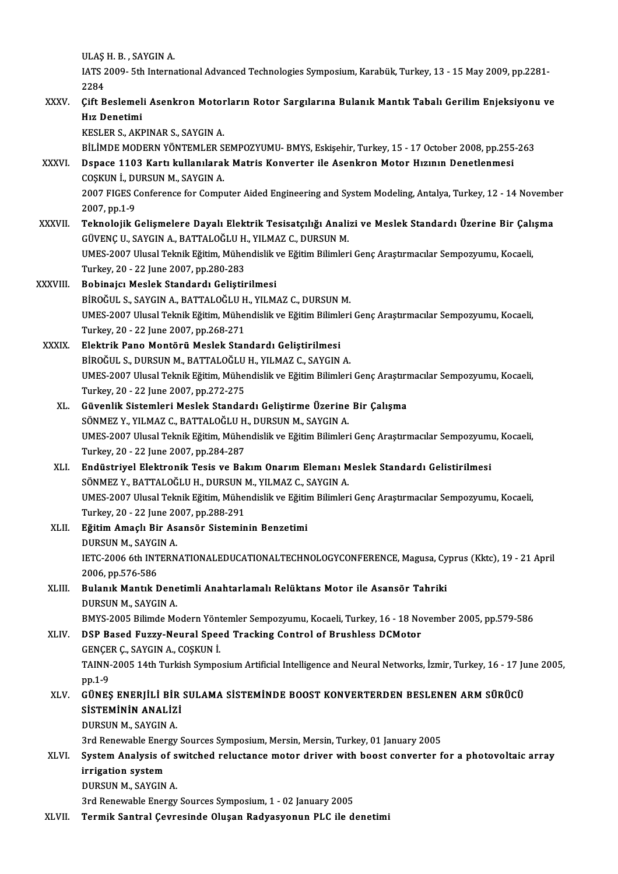ULAŞ H. B. , SAYGIN A.<br>ULAŞ H. B. , SAYGIN A.

IATS 2009-5th International Advanced Technologies Symposium, Karabük, Turkey, 13 - 15 May 2009, pp.2281-<br>2284 ULAŞ<br>IATS 2<br>2284<br>Cift P XXXV. (IATS 2009- 5th International Advanced Technologies Symposium, Karabük, Turkey, 13 - 15 May 2009, pp.2281<br>2284<br>XXXV. (Cift Beslemeli Asenkron Motorların Rotor Sargılarına Bulanık Mantık Tabalı Gerilim Enjeksiyonu ve

### 2284<br>Çift Beslemel<br>Hız Denetimi<br>YESI ED S. AYI Çift Beslemeli Asenkron Motor<br>Hız Denetimi<br>KESLER S., AKPINAR S., SAYGIN A.<br>PİLİMDE MODEPN YÖNTEMLED S Hız Denetimi<br>KESLER S., AKPINAR S., SAYGIN A.<br>BİLİMDE MODERN YÖNTEMLER SEMPOZYUMU- BMYS, Eskişehir, Turkey, 15 - 17 October 2008, pp.255-263<br>Penase 1103 Kartı kullanılarak Matris Konyerter ile Asenkren Metar Hızının Penetl

### KESLER S., AKPINAR S., SAYGIN A.<br>BİLİMDE MODERN YÖNTEMLER SEMPOZYUMU- BMYS, Eskişehir, Turkey, 15 - 17 October 2008, pp.255<br>XXXVI. Dspace 1103 Kartı kullanılarak Matris Konverter ile Asenkron Motor Hızının Denetlenmesi<br>COS BİLİMDE MODERN YÖNTEMLER S<br>Dspace 1103 Kartı kullanılaral<br>COŞKUN İ., DURSUN M., SAYGIN A.<br>2007 EICES Conference for Compu Dspace 1103 Kartı kullanılarak Matris Konverter ile Asenkron Motor Hızının Denetlenmesi<br>COŞKUN İ., DURSUN M., SAYGIN A.<br>2007 FIGES Conference for Computer Aided Engineering and System Modeling, Antalya, Turkey, 12 - 14 Nov

COŞKUN İ., DI<br>2007 FIGES C<br>2007, pp.1-9<br>Teknolojik C 2007 FIGES Conference for Computer Aided Engineering and System Modeling, Antalya, Turkey, 12 - 14 November 2007, pp.1-9<br>XXXVII. Teknolojik Gelişmelere Dayalı Elektrik Tesisatçılığı Analizi ve Meslek Standardı Üzerine Bir

### 2007, pp.1-9<br>Teknolojik Gelişmelere Dayalı Elektrik Tesisatçılığı Analizi ve Meslek Standardı Üzerine Bir Çalışma<br>GÜVENÇ U., SAYGIN A., BATTALOĞLU H., YILMAZ C., DURSUN M. Teknolojik Gelişmelere Dayalı Elektrik Tesisatçılığı Analizi ve Meslek Standardı Üzerine Bir Çalı<br>GÜVENÇ U., SAYGIN A., BATTALOĞLU H., YILMAZ C., DURSUN M.<br>UMES-2007 Ulusal Teknik Eğitim, Mühendislik ve Eğitim Bilimleri Ge

GÜVENÇ U., SAYGIN A., BATTALOĞLU H.<br>UMES-2007 Ulusal Teknik Eğitim, Müher<br>Turkey, 20 - 22 June 2007, pp.280-283<br>Behinaisı Maslak Standardı Calistin UMES-2007 Ulusal Teknik Eğitim, Mühendislik<br>Turkey, 20 - 22 June 2007, pp.280-283<br>XXXVIII. Bobinajcı Meslek Standardı Geliştirilmesi<br>P<sup>ipočiu S.</sup> SAYCIN A. BATTALOČI U.H. YU M

### Turkey, 20 - 22 June 2007, pp.280-283<br><mark>Bobinajcı Meslek Standardı Geliştirilmesi</mark><br>BİROĞUL S., SAYGIN A., BATTALOĞLU H., YILMAZ C., DURSUN M.<br>UMES 2007 Ulugel Telmik Eğitim Mühandialik ve Eğitim Bilimleri Bobinajcı Meslek Standardı Geliştirilmesi<br>BİROĞUL S., SAYGIN A., BATTALOĞLU H., YILMAZ C., DURSUN M.<br>UMES-2007 Ulusal Teknik Eğitim, Mühendislik ve Eğitim Bilimleri Genç Araştırmacılar Sempozyumu, Kocaeli,<br>Turkey, 20 - 22 BİROĞUL S., SAYGIN A., BATTALOĞLU H<br>UMES-2007 Ulusal Teknik Eğitim, Müher<br>Turkey, 20 - 22 June 2007, pp.268-271<br>Elektrik Bane Mantörü Meslek Stan UMES-2007 Ulusal Teknik Eğitim, Mühendislik ve Eğitim Bilimle<br>Turkey, 20 - 22 June 2007, pp.268-271<br>XXXIX. Elektrik Pano Montörü Meslek Standardı Geliştirilmesi<br>PİROĞUL S. DURSUN M. BATTALOĞLU H. YU MAZ G. SAVGIN

Turkey, 20 - 22 June 2007, pp.268-271<br>Elektrik Pano Montörü Meslek Standardı Geliştirilmesi<br>BİROĞUL S., DURSUN M., BATTALOĞLU H., YILMAZ C., SAYGIN A.<br>UMES 2007 Ulusal Talmik Eğitim Mühandialik ve Eğitim Bilimleri UMES-2007 Ulusal Teknik Eğitim, Mühendislik ve Eğitim Bilimleri Genç Araştırmacılar Sempozyumu, Kocaeli, Turkey, 20 - 22 June 2007, pp.272-275 BİROĞUL S., DURSUN M., BATTALOĞLU H., YILMAZ C., SAYGIN A. UMES-2007 Ulusal Teknik Eğitim, Mühendislik ve Eğitim Bilimleri Genç Araştırı<br>Turkey, 20 - 22 June 2007, pp.272-275<br>XL. Güvenlik Sistemleri Meslek Standardı Geliştirme Üzerine Bir Çalışma<br>SÖNMEZ V. YU MAZ C. BATTALOĞLU H.

- Turkey, 20 22 June 2007, pp.272-275<br>Güvenlik Sistemleri Meslek Standardı Geliştirme Üzerine<br>SÖNMEZ Y., YILMAZ C., BATTALOĞLU H., DURSUN M., SAYGIN A.<br>UMES 2007 Ulusel Telmik Eğitim Mühandislik ve Eğitim Bilimler Güvenlik Sistemleri Meslek Standardı Geliştirme Üzerine Bir Çalışma<br>SÖNMEZ Y., YILMAZ C., BATTALOĞLU H., DURSUN M., SAYGIN A.<br>UMES-2007 Ulusal Teknik Eğitim, Mühendislik ve Eğitim Bilimleri Genç Araştırmacılar Sempozyumu, SÖNMEZ Y., YILMAZ C., BATTALOĞLU H<br>UMES-2007 Ulusal Teknik Eğitim, Müher<br>Turkey, 20 - 22 June 2007, pp.284-287<br>Endüstrivel Elektronik Tesis ve Bal UMES-2007 Ulusal Teknik Eğitim, Mühendislik ve Eğitim Bilimleri Genç Araştırmacılar Sempozyumı<br>Turkey, 20 - 22 June 2007, pp.284-287<br>XLI. Budüstriyel Elektronik Tesis ve Bakım Onarım Elemanı Meslek Standardı Gelistirilmesi
- Turkey, 20 22 June 2007, pp.284-287<br>Endüstriyel Elektronik Tesis ve Bakım Onarım Elemanı M<br>SÖNMEZ Y., BATTALOĞLU H., DURSUN M., YILMAZ C., SAYGIN A.<br>UMES 2007 Ulugel Telmik Eğitim Mühandialik ve Eğitim Bilimler Endüstriyel Elektronik Tesis ve Bakım Onarım Elemanı Meslek Standardı Gelistirilmesi<br>SÖNMEZ Y., BATTALOĞLU H., DURSUN M., YILMAZ C., SAYGIN A.<br>UMES-2007 Ulusal Teknik Eğitim, Mühendislik ve Eğitim Bilimleri Genç Araştırmac SÖNMEZ Y., BATTALOĞLU H., DURSUN I<br>UMES-2007 Ulusal Teknik Eğitim, Müher<br>Turkey, 20 - 22 June 2007, pp.288-291<br>Eğitim Amaslı Bin Asansân Sistamin UMES-2007 Ulusal Teknik Eğitim, Mühendislik ve Eğitim<br>Turkey, 20 - 22 June 2007, pp.288-291<br>XLII. Eğitim Amaçlı Bir Asansör Sisteminin Benzetimi
- Turkey, 20 22 June 20<br>Eğitim Amaçlı Bir As<br>DURSUN M., SAYGIN A.<br>IETC 2006 6th INTERN Eğitim Amaçlı Bir Asansör Sisteminin Benzetimi<br>DURSUN M., SAYGIN A.<br>IETC-2006 6th INTERNATIONALEDUCATIONALTECHNOLOGYCONFERENCE, Magusa, Cyprus (Kktc), 19 - 21 April<br>2006 pp 576 596 DURSUN M., SAYGI<br>IETC-2006 6th INT<br>2006, pp.576-586<br>Bulanık Mantik E IETC-2006 6th INTERNATIONALEDUCATIONALTECHNOLOGYCONFERENCE, Magusa, Cy<br>2006, pp.576-586<br>XLIII. Bulanık Mantık Denetimli Anahtarlamalı Relüktans Motor ile Asansör Tahriki

## 2006, pp.576-586<br>Bulanık Mantık Dene<br>DURSUN M., SAYGIN A.<br>BMYS 2005 Bilimda Me Bulanık Mantık Denetimli Anahtarlamalı Relüktans Motor ile Asansör Tahriki<br>DURSUN M., SAYGIN A.<br>BMYS-2005 Bilimde Modern Yöntemler Sempozyumu, Kocaeli, Turkey, 16 - 18 November 2005, pp.579-586<br>DSB Based Euggy Noural Speed

### DURSUN M., SAYGIN A.<br>BMYS-2005 Bilimde Modern Yöntemler Sempozyumu, Kocaeli, Turkey, 16 - 18 No<br>XLIV. DSP Based Fuzzy-Neural Speed Tracking Control of Brushless DCMotor<br>GENCER C., SAYGIN A., COSKUN İ. BMYS-2005 Bilimde Modern Yönt<br>DSP Based Fuzzy-Neural Spee<br>GENÇER Ç., SAYGIN A., COŞKUN İ.<br>TAINN 2005 14th Turkish Sumno DSP Based Fuzzy-Neural Speed Tracking Control of Brushless DCMotor<br>GENÇER Ç., SAYGIN A., COŞKUN İ.<br>TAINN-2005 14th Turkish Symposium Artificial Intelligence and Neural Networks, İzmir, Turkey, 16 - 17 June 2005,<br>nn 1 9 **GENÇE<br>TAINN-<br>pp.1-9<br>CÜNES**

### TAINN-2005 14th Turkish Symposium Artificial Intelligence and Neural Networks, İzmir, Turkey, 16 - 17 Ju<br>pp.1-9<br>XLV. GÜNEŞ ENERJİLİ BİR SULAMA SİSTEMİNDE BOOST KONVERTERDEN BESLENEN ARM SÜRÜCÜ<br>sİSTEMİNİN ANALİZİ pp.1-9<br>GÜNEŞ ENERJİLİ BİR<br>SİSTEMİNİN ANALİZİ<br>DUBSUN M. SAYCIN A GÜNEŞ ENERJİLİ BİR<br>SİSTEMİNİN ANALİZ<br>DURSUN M., SAYGIN A.<br><sup>214 Ronqurabla Energy</sup> SİSTEMİNİN ANALİZİ<br>DURSUN M., SAYGIN A.<br>3rd Renewable Energy Sources Symposium, Mersin, Mersin, Turkey, 01 January 2005<br>System Analysis of switched relustanse meter driver with boost senyerter f

### DURSUN M., SAYGIN A.<br>3rd Renewable Energy Sources Symposium, Mersin, Mersin, Turkey, 01 January 2005<br>XLVI. System Analysis of switched reluctance motor driver with boost converter for a photovoltaic array<br>invisation evatem 3rd Renewable Ener<br>System Analysis of<br>irrigation system<br>DURSIN M. SAVCIN System Analysis of s<br>irrigation system<br>DURSUN M., SAYGIN A.<br><sup>2nd Bonoumble Energy</sup> irrigation system<br>DURSUN M., SAYGIN A.<br>3rd Renewable Energy Sources Symposium, 1 - 02 January 2005

XLVII. Termik Santral Çevresinde Oluşan Radyasyonun PLC ile denetimi